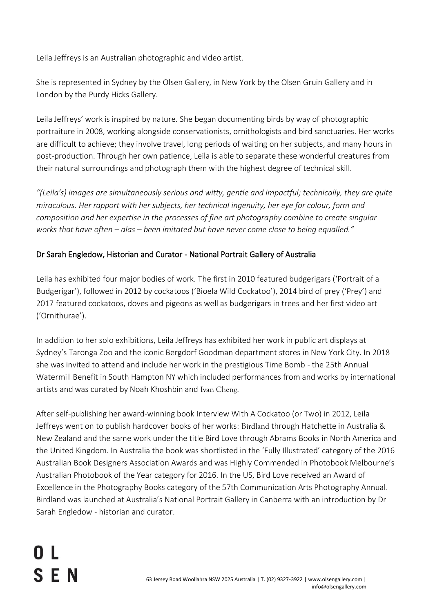Leila Jeffreys is an Australian photographic and video artist.

She is represented in Sydney by the Olsen Gallery, in New York by the Olsen Gruin Gallery and in London by the Purdy Hicks Gallery.

Leila Jeffreys' work is inspired by nature. She began documenting birds by way of photographic portraiture in 2008, working alongside conservationists, ornithologists and bird sanctuaries. Her works are difficult to achieve; they involve travel, long periods of waiting on her subjects, and many hours in post-production. Through her own patience, Leila is able to separate these wonderful creatures from their natural surroundings and photograph them with the highest degree of technical skill.

*"(Leila's) images are simultaneously serious and witty, gentle and impactful; technically, they are quite miraculous. Her rapport with her subjects, her technical ingenuity, her eye for colour, form and composition and her expertise in the processes of fine art photography combine to create singular works that have often – alas – been imitated but have never come close to being equalled."*

#### Dr Sarah Engledow, Historian and Curator - National Portrait Gallery of Australia

Leila has exhibited four major bodies of work. The first in 2010 featured budgerigars ('Portrait of a Budgerigar'), followed in 2012 by cockatoos ('Bioela Wild Cockatoo'), 2014 bird of prey ('Prey') and 2017 featured cockatoos, doves and pigeons as well as budgerigars in trees and her first video art ('Ornithurae').

In addition to her solo exhibitions, Leila Jeffreys has exhibited her work in public art displays at Sydney's Taronga Zoo and the iconic Bergdorf Goodman department stores in New York City. In 2018 she was invited to attend and include her work in the prestigious Time Bomb - the 25th Annual Watermill Benefit in South Hampton NY which included performances from and works by international artists and was curated by Noah Khoshbin and [Ivan Cheng](http://ivancheng.com/).

After self-publishing her award-winning book Interview With A Cockatoo (or Two) in 2012, Leila Jeffreys went on to publish hardcover books of her works: [Birdland](https://www.hachette.com.au/leila-jeffreys/birdland) through Hatchette in Australia & New Zealand and the same work under the title Bird Love through Abrams Books in North America and the United Kingdom. In Australia the book was shortlisted in the 'Fully Illustrated' category of the 2016 Australian Book Designers Association Awards and was Highly Commended in Photobook Melbourne's Australian Photobook of the Year category for 2016. In the US, Bird Love received an Award of Excellence in the Photography Books category of the 57th Communication Arts Photography Annual. Birdland was launched at Australia's National Portrait Gallery in Canberra with an introduction by Dr Sarah Engledow - historian and curator.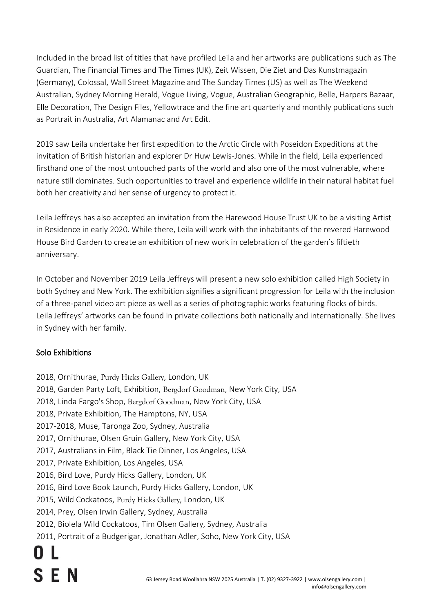Included in the broad list of titles that have profiled Leila and her artworks are publications such as The Guardian, The Financial Times and The Times (UK), Zeit Wissen, Die Ziet and Das Kunstmagazin (Germany), Colossal, Wall Street Magazine and The Sunday Times (US) as well as The Weekend Australian, Sydney Morning Herald, Vogue Living, Vogue, Australian Geographic, Belle, Harpers Bazaar, Elle Decoration, The Design Files, Yellowtrace and the fine art quarterly and monthly publications such as Portrait in Australia, Art Alamanac and Art Edit.

2019 saw Leila undertake her first expedition to the Arctic Circle with Poseidon Expeditions at the invitation of British historian and explorer Dr Huw Lewis-Jones. While in the field, Leila experienced firsthand one of the most untouched parts of the world and also one of the most vulnerable, where nature still dominates. Such opportunities to travel and experience wildlife in their natural habitat fuel both her creativity and her sense of urgency to protect it.

Leila Jeffreys has also accepted an invitation from the Harewood House Trust UK to be a visiting Artist in Residence in early 2020. While there, Leila will work with the inhabitants of the revered Harewood House Bird Garden to create an exhibition of new work in celebration of the garden's fiftieth anniversary.

In October and November 2019 Leila Jeffreys will present a new solo exhibition called High Society in both Sydney and New York. The exhibition signifies a significant progression for Leila with the inclusion of a three-panel video art piece as well as a series of photographic works featuring flocks of birds. Leila Jeffreys' artworks can be found in private collections both nationally and internationally. She lives in Sydney with her family.

#### Solo Exhibitions

- 2018, Ornithurae, [Purdy Hicks Gallery](http://www.purdyhicks.com/exhibitions.php?opt=p&aid=297), London, UK
- 2018, Garden Party Loft, Exhibition, [Bergdorf Goodman](https://www.bergdorfgoodman.com/), New York City, USA
- 2018, Linda Fargo's Shop, [Bergdorf Goodman](https://www.bergdorfgoodman.com/), New York City, USA
- 2018, Private Exhibition, The Hamptons, NY, USA
- 2017-2018, Muse, Taronga Zoo, Sydney, Australia
- 2017, Ornithurae, Olsen Gruin Gallery, New York City, USA
- 2017, Australians in Film, Black Tie Dinner, Los Angeles, USA
- 2017, Private Exhibition, Los Angeles, USA
- 2016, Bird Love, Purdy Hicks Gallery, London, UK
- 2016, Bird Love Book Launch, Purdy Hicks Gallery, London, UK
- 2015, Wild Cockatoos, [Purdy Hicks Gallery](http://www.purdyhicks.com/exhibitions.php?opt=p&aid=184), London, UK
- 2014, Prey, Olsen Irwin Gallery, Sydney, Australia
- 2012, Biolela Wild Cockatoos, Tim Olsen Gallery, Sydney, Australia
- 2011, Portrait of a Budgerigar, Jonathan Adler, Soho, New York City, USA

# **SEN**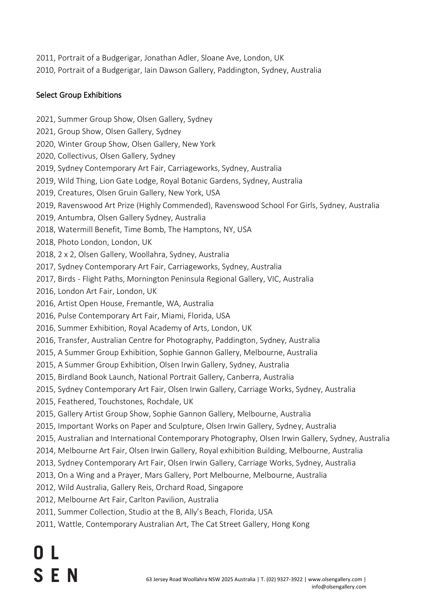2011, Portrait of a Budgerigar, Jonathan Adler, Sloane Ave, London, UK 2010, Portrait of a Budgerigar, Iain Dawson Gallery, Paddington, Sydney, Australia

### Select Group Exhibitions

- 2021, Summer Group Show, Olsen Gallery, Sydney 2021, Group Show, Olsen Gallery, Sydney 2020, Winter Group Show, Olsen Gallery, New York
	- 2020, Collectivus, Olsen Gallery, Sydney
	- 2019, Sydney Contemporary Art Fair, Carriageworks, Sydney, Australia
	- 2019, Wild Thing, Lion Gate Lodge, Royal Botanic Gardens, Sydney, Australia
	- 2019, Creatures, Olsen Gruin Gallery, New York, USA
	- 2019, Ravenswood Art Prize (Highly Commended), Ravenswood School For Girls, Sydney, Australia
	- 2019, Antumbra, Olsen Gallery Sydney, Australia
	- 2018, Watermill Benefit, Time Bomb, The Hamptons, NY, USA
	- 2018, Photo London, London, UK
	- 2018, 2 x 2, Olsen Gallery, Woollahra, Sydney, Australia
	- 2017, Sydney Contemporary Art Fair, Carriageworks, Sydney, Australia
	- 2017, Birds Flight Paths, Mornington Peninsula Regional Gallery, VIC, Australia
	- 2016, London Art Fair, London, UK
	- 2016, Artist Open House, Fremantle, WA, Australia
	- 2016, Pulse Contemporary Art Fair, Miami, Florida, USA
	- 2016, Summer Exhibition, Royal Academy of Arts, London, UK
	- 2016, Transfer, Australian Centre for Photography, Paddington, Sydney, Australia
	- 2015, A Summer Group Exhibition, Sophie Gannon Gallery, Melbourne, Australia
	- 2015, A Summer Group Exhibition, Olsen Irwin Gallery, Sydney, Australia
	- 2015, Birdland Book Launch, National Portrait Gallery, Canberra, Australia
	- 2015, Sydney Contemporary Art Fair, Olsen Irwin Gallery, Carriage Works, Sydney, Australia
	- 2015, Feathered, Touchstones, Rochdale, UK
	- 2015, Gallery Artist Group Show, Sophie Gannon Gallery, Melbourne, Australia
	- 2015, Important Works on Paper and Sculpture, Olsen Irwin Gallery, Sydney, Australia
	- 2015, Australian and International Contemporary Photography, Olsen Irwin Gallery, Sydney, Australia
	- 2014, Melbourne Art Fair, Olsen Irwin Gallery, Royal exhibition Building, Melbourne, Australia
	- 2013, Sydney Contemporary Art Fair, Olsen Irwin Gallery, Carriage Works, Sydney, Australia
	- 2013, On a Wing and a Prayer, Mars Gallery, Port Melbourne, Melbourne, Australia
	- 2012, Wild Australia, Gallery Reis, Orchard Road, Singapore
	- 2012, Melbourne Art Fair, Carlton Pavilion, Australia
	- 2011, Summer Collection, Studio at the B, Ally's Beach, Florida, USA
	- 2011, Wattle, Contemporary Australian Art, The Cat Street Gallery, Hong Kong

## 0 L **SEN**